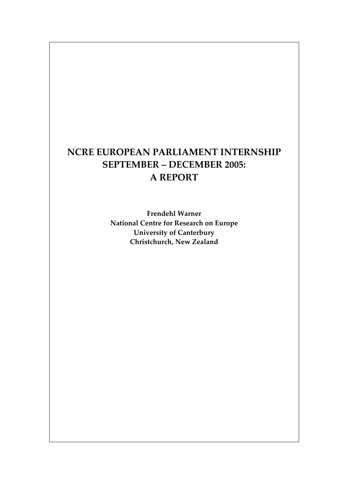# **NCRE EUROPEAN PARLIAMENT INTERNSHIP SEPTEMBER – DECEMBER 2005: A REPORT**

**Frendehl Warner National Centre for Research on Europe University of Canterbury Christchurch, New Zealand**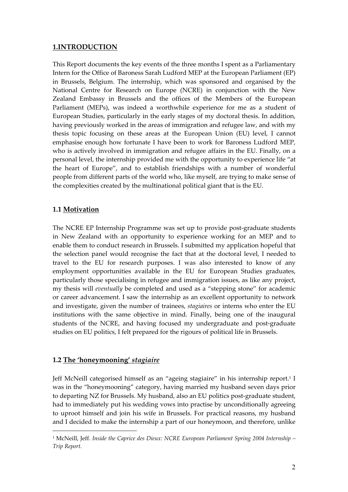## **1.INTRODUCTION**

This Report documents the key events of the three months I spent as a Parliamentary Intern for the Office of Baroness Sarah Ludford MEP at the European Parliament (EP) in Brussels, Belgium. The internship, which was sponsored and organised by the National Centre for Research on Europe (NCRE) in conjunction with the New Zealand Embassy in Brussels and the offices of the Members of the European Parliament (MEPs), was indeed a worthwhile experience for me as a student of European Studies, particularly in the early stages of my doctoral thesis. In addition, having previously worked in the areas of immigration and refugee law, and with my thesis topic focusing on these areas at the European Union (EU) level, I cannot emphasise enough how fortunate I have been to work for Baroness Ludford MEP, who is actively involved in immigration and refugee affairs in the EU. Finally, on a personal level, the internship provided me with the opportunity to experience life "at the heart of Europe", and to establish friendships with a number of wonderful people from different parts of the world who, like myself, are trying to make sense of the complexities created by the multinational political giant that is the EU.

## **1.1 Motivation**

The NCRE EP Internship Programme was set up to provide post-graduate students in New Zealand with an opportunity to experience working for an MEP and to enable them to conduct research in Brussels. I submitted my application hopeful that the selection panel would recognise the fact that at the doctoral level, I needed to travel to the EU for research purposes. I was also interested to know of any employment opportunities available in the EU for European Studies graduates, particularly those specialising in refugee and immigration issues, as like any project, my thesis will *eventually* be completed and used as a "stepping stone" for academic or career advancement. I saw the internship as an excellent opportunity to network and investigate, given the number of trainees, *stagiaires* or interns who enter the EU institutions with the same objective in mind. Finally, being one of the inaugural students of the NCRE, and having focused my undergraduate and post-graduate studies on EU politics, I felt prepared for the rigours of political life in Brussels.

#### **1.2 The 'honeymooning'** *stagiaire*

 $\overline{a}$ 

Jeff McNeill categorised himself as an "ageing stagiaire" in his internship report.1 I was in the "honeymooning" category, having married my husband seven days prior to departing NZ for Brussels. My husband, also an EU politics post-graduate student, had to immediately put his wedding vows into practise by unconditionally agreeing to uproot himself and join his wife in Brussels. For practical reasons, my husband and I decided to make the internship a part of our honeymoon, and therefore, unlike

<sup>1</sup> McNeill, Jeff. *Inside the Caprice des Dieux: NCRE European Parliament Spring 2004 Internship – Trip Report.*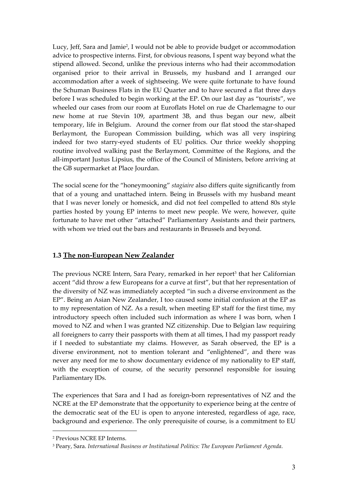Lucy, Jeff, Sara and Jamie<sup>2</sup>, I would not be able to provide budget or accommodation advice to prospective interns. First, for obvious reasons, I spent way beyond what the stipend allowed. Second, unlike the previous interns who had their accommodation organised prior to their arrival in Brussels, my husband and I arranged our accommodation after a week of sightseeing. We were quite fortunate to have found the Schuman Business Flats in the EU Quarter and to have secured a flat three days before I was scheduled to begin working at the EP. On our last day as "tourists", we wheeled our cases from our room at Euroflats Hotel on rue de Charlemagne to our new home at rue Stevin 109, apartment 3B, and thus began our new, albeit temporary, life in Belgium. Around the corner from our flat stood the star-shaped Berlaymont, the European Commission building, which was all very inspiring indeed for two starry-eyed students of EU politics. Our thrice weekly shopping routine involved walking past the Berlaymont, Committee of the Regions, and the all-important Justus Lipsius, the office of the Council of Ministers, before arriving at the GB supermarket at Place Jourdan.

The social scene for the "honeymooning" *stagiaire* also differs quite significantly from that of a young and unattached intern. Being in Brussels with my husband meant that I was never lonely or homesick, and did not feel compelled to attend 80s style parties hosted by young EP interns to meet new people. We were, however, quite fortunate to have met other "attached" Parliamentary Assistants and their partners, with whom we tried out the bars and restaurants in Brussels and beyond.

## **1.3 The non-European New Zealander**

The previous NCRE Intern, Sara Peary, remarked in her report<sup>3</sup> that her Californian accent "did throw a few Europeans for a curve at first", but that her representation of the diversity of NZ was immediately accepted "in such a diverse environment as the EP". Being an Asian New Zealander, I too caused some initial confusion at the EP as to my representation of NZ. As a result, when meeting EP staff for the first time, my introductory speech often included such information as where I was born, when I moved to NZ and when I was granted NZ citizenship. Due to Belgian law requiring all foreigners to carry their passports with them at all times, I had my passport ready if I needed to substantiate my claims. However, as Sarah observed, the EP is a diverse environment, not to mention tolerant and "enlightened", and there was never any need for me to show documentary evidence of my nationality to EP staff, with the exception of course, of the security personnel responsible for issuing Parliamentary IDs.

The experiences that Sara and I had as foreign-born representatives of NZ and the NCRE at the EP demonstrate that the opportunity to experience being at the centre of the democratic seat of the EU is open to anyone interested, regardless of age, race, background and experience. The only prerequisite of course, is a commitment to EU

 $\overline{a}$ 

<sup>2</sup> Previous NCRE EP Interns.

<sup>3</sup> Peary, Sara. *International Business or Institutional Politics: The European Parliament Agenda*.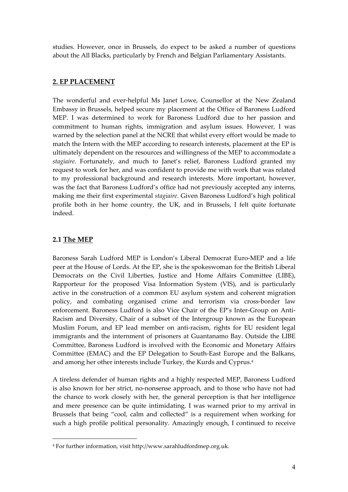studies. However, once in Brussels, do expect to be asked a number of questions about the All Blacks, particularly by French and Belgian Parliamentary Assistants.

#### **2. EP PLACEMENT**

The wonderful and ever-helpful Ms Janet Lowe, Counsellor at the New Zealand Embassy in Brussels, helped secure my placement at the Office of Baroness Ludford MEP. I was determined to work for Baroness Ludford due to her passion and commitment to human rights, immigration and asylum issues. However, I was warned by the selection panel at the NCRE that whilst every effort would be made to match the Intern with the MEP according to research interests, placement at the EP is ultimately dependent on the resources and willingness of the MEP to accommodate a *stagiaire*. Fortunately, and much to Janet's relief, Baroness Ludford granted my request to work for her, and was confident to provide me with work that was related to my professional background and research interests. More important, however, was the fact that Baroness Ludford's office had not previously accepted any interns, making me their first experimental *stagiaire*. Given Baroness Ludford's high political profile both in her home country, the UK, and in Brussels, I felt quite fortunate indeed.

## **2.1 The MEP**

 $\overline{a}$ 

Baroness Sarah Ludford MEP is London's Liberal Democrat Euro-MEP and a life peer at the House of Lords. At the EP, she is the spokeswoman for the British Liberal Democrats on the Civil Liberties, Justice and Home Affairs Committee (LIBE), Rapporteur for the proposed Visa Information System (VIS), and is particularly active in the construction of a common EU asylum system and coherent migration policy, and combating organised crime and terrorism via cross-border law enforcement. Baroness Ludford is also Vice Chair of the EP's Inter-Group on Anti-Racism and Diversity, Chair of a subset of the Intergroup known as the European Muslim Forum, and EP lead member on anti-racism, rights for EU resident legal immigrants and the internment of prisoners at Guantanamo Bay. Outside the LIBE Committee, Baroness Ludford is involved with the Economic and Monetary Affairs Committee (EMAC) and the EP Delegation to South-East Europe and the Balkans, and among her other interests include Turkey, the Kurds and Cyprus.4

A tireless defender of human rights and a highly respected MEP, Baroness Ludford is also known for her strict, no-nonsense approach, and to those who have not had the chance to work closely with her, the general perception is that her intelligence and mere presence can be quite intimidating. I was warned prior to my arrival in Brussels that being "cool, calm and collected" is a requirement when working for such a high profile political personality. Amazingly enough, I continued to receive

<sup>4</sup> For further information, visit http://www.sarahludfordmep.org.uk.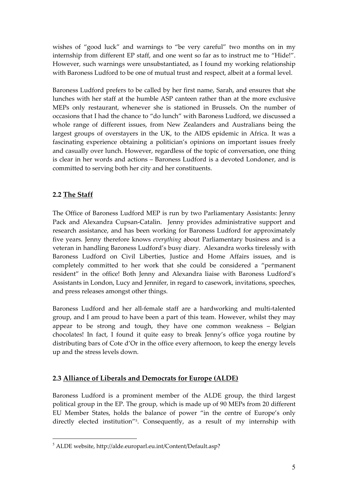wishes of "good luck" and warnings to "be very careful" two months on in my internship from different EP staff, and one went so far as to instruct me to "Hide!". However, such warnings were unsubstantiated, as I found my working relationship with Baroness Ludford to be one of mutual trust and respect, albeit at a formal level.

Baroness Ludford prefers to be called by her first name, Sarah, and ensures that she lunches with her staff at the humble ASP canteen rather than at the more exclusive MEPs only restaurant, whenever she is stationed in Brussels. On the number of occasions that I had the chance to "do lunch" with Baroness Ludford, we discussed a whole range of different issues, from New Zealanders and Australians being the largest groups of overstayers in the UK, to the AIDS epidemic in Africa. It was a fascinating experience obtaining a politician's opinions on important issues freely and casually over lunch. However, regardless of the topic of conversation, one thing is clear in her words and actions – Baroness Ludford is a devoted Londoner, and is committed to serving both her city and her constituents.

# **2.2 The Staff**

 $\overline{a}$ 

The Office of Baroness Ludford MEP is run by two Parliamentary Assistants: Jenny Pack and Alexandra Cupsan-Catalin. Jenny provides administrative support and research assistance, and has been working for Baroness Ludford for approximately five years. Jenny therefore knows *everything* about Parliamentary business and is a veteran in handling Baroness Ludford's busy diary. Alexandra works tirelessly with Baroness Ludford on Civil Liberties, Justice and Home Affairs issues, and is completely committed to her work that she could be considered a "permanent resident" in the office! Both Jenny and Alexandra liaise with Baroness Ludford's Assistants in London, Lucy and Jennifer, in regard to casework, invitations, speeches, and press releases amongst other things.

Baroness Ludford and her all-female staff are a hardworking and multi-talented group, and I am proud to have been a part of this team. However, whilst they may appear to be strong and tough, they have one common weakness – Belgian chocolates! In fact, I found it quite easy to break Jenny's office yoga routine by distributing bars of Cote d'Or in the office every afternoon, to keep the energy levels up and the stress levels down.

## **2.3 Alliance of Liberals and Democrats for Europe (ALDE)**

Baroness Ludford is a prominent member of the ALDE group, the third largest political group in the EP. The group, which is made up of 90 MEPs from 20 different EU Member States, holds the balance of power "in the centre of Europe's only directly elected institution"5. Consequently, as a result of my internship with

<sup>5</sup> ALDE website, http://alde.europarl.eu.int/Content/Default.asp?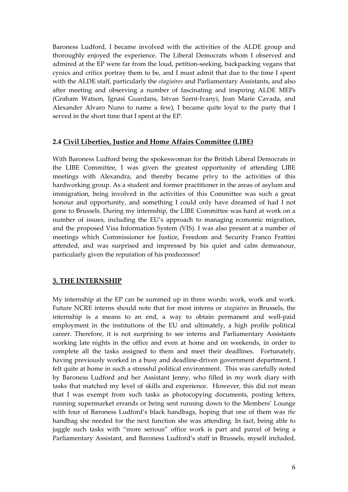Baroness Ludford, I became involved with the activities of the ALDE group and thoroughly enjoyed the experience. The Liberal Democrats whom I observed and admired at the EP were far from the loud, petition-seeking, backpacking vegans that cynics and critics portray them to be, and I must admit that due to the time I spent with the ALDE staff, particularly the *stagiaires* and Parliamentary Assistants, and also after meeting and observing a number of fascinating and inspiring ALDE MEPs (Graham Watson, Ignasi Guardans, Istvan Szent-Ivanyi, Jean Marie Cavada, and Alexander Alvaro Nuno to name a few), I became quite loyal to the party that I served in the short time that I spent at the EP.

#### **2.4 Civil Liberties, Justice and Home Affairs Committee (LIBE)**

With Baroness Ludford being the spokeswoman for the British Liberal Democrats in the LIBE Committee, I was given the greatest opportunity of attending LIBE meetings with Alexandra, and thereby became privy to the activities of this hardworking group. As a student and former practitioner in the areas of asylum and immigration, being involved in the activities of this Committee was such a great honour and opportunity, and something I could only have dreamed of had I not gone to Brussels. During my internship, the LIBE Committee was hard at work on a number of issues, including the EU's approach to managing economic migration, and the proposed Visa Information System (VIS). I was also present at a number of meetings which Commissioner for Justice, Freedom and Security Franco Frattini attended, and was surprised and impressed by his quiet and calm demeanour, particularly given the reputation of his predecessor!

#### **3. THE INTERNSHIP**

My internship at the EP can be summed up in three words: work, work and work. Future NCRE interns should note that for most interns or *stagiaires* in Brussels, the internship is a means to an end, a way to obtain permanent and well-paid employment in the institutions of the EU and ultimately, a high profile political career. Therefore, it is not surprising to see interns and Parliamentary Assistants working late nights in the office and even at home and on weekends, in order to complete all the tasks assigned to them and meet their deadlines. Fortunately, having previously worked in a busy and deadline-driven government department, I felt quite at home in such a stressful political environment. This was carefully noted by Baroness Ludford and her Assistant Jenny, who filled in my work diary with tasks that matched my level of skills and experience. However, this did not mean that I was exempt from such tasks as photocopying documents, posting letters, running supermarket errands or being sent running down to the Members' Lounge with four of Baroness Ludford's black handbags, hoping that one of them was *the* handbag she needed for the next function she was attending. In fact, being able to juggle such tasks with "more serious" office work is part and parcel of being a Parliamentary Assistant, and Baroness Ludford's staff in Brussels, myself included,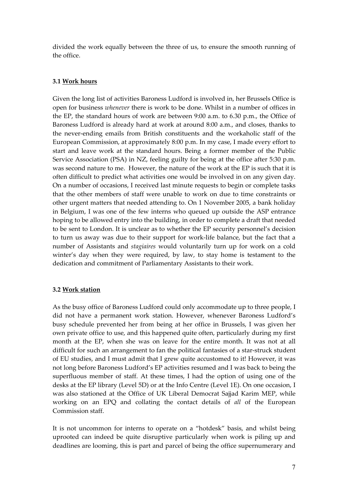divided the work equally between the three of us, to ensure the smooth running of the office.

#### **3.1 Work hours**

Given the long list of activities Baroness Ludford is involved in, her Brussels Office is open for business *whenever* there is work to be done. Whilst in a number of offices in the EP, the standard hours of work are between 9:00 a.m. to 6.30 p.m., the Office of Baroness Ludford is already hard at work at around 8:00 a.m., and closes, thanks to the never-ending emails from British constituents and the workaholic staff of the European Commission, at approximately 8:00 p.m. In my case, I made every effort to start and leave work at the standard hours. Being a former member of the Public Service Association (PSA) in NZ, feeling guilty for being at the office after 5:30 p.m. was second nature to me. However, the nature of the work at the EP is such that it is often difficult to predict what activities one would be involved in on any given day. On a number of occasions, I received last minute requests to begin or complete tasks that the other members of staff were unable to work on due to time constraints or other urgent matters that needed attending to. On 1 November 2005, a bank holiday in Belgium, I was one of the few interns who queued up outside the ASP entrance hoping to be allowed entry into the building, in order to complete a draft that needed to be sent to London. It is unclear as to whether the EP security personnel's decision to turn us away was due to their support for work-life balance, but the fact that a number of Assistants and *stagiaires* would voluntarily turn up for work on a cold winter's day when they were required, by law, to stay home is testament to the dedication and commitment of Parliamentary Assistants to their work.

#### **3.2 Work station**

As the busy office of Baroness Ludford could only accommodate up to three people, I did not have a permanent work station. However, whenever Baroness Ludford's busy schedule prevented her from being at her office in Brussels, I was given her own private office to use, and this happened quite often, particularly during my first month at the EP, when she was on leave for the entire month. It was not at all difficult for such an arrangement to fan the political fantasies of a star-struck student of EU studies, and I must admit that I grew quite accustomed to it! However, it was not long before Baroness Ludford's EP activities resumed and I was back to being the superfluous member of staff. At these times, I had the option of using one of the desks at the EP library (Level 5D) or at the Info Centre (Level 1E). On one occasion, I was also stationed at the Office of UK Liberal Democrat Sajjad Karim MEP, while working on an EPQ and collating the contact details of *all* of the European Commission staff.

It is not uncommon for interns to operate on a "hotdesk" basis, and whilst being uprooted can indeed be quite disruptive particularly when work is piling up and deadlines are looming, this is part and parcel of being the office supernumerary and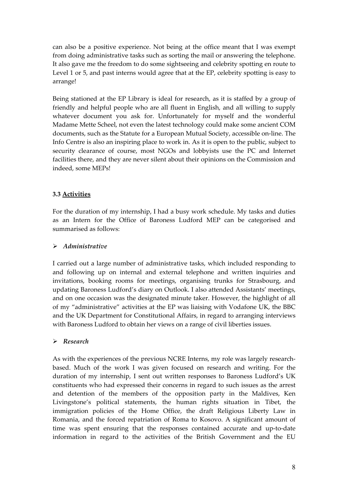can also be a positive experience. Not being at the office meant that I was exempt from doing administrative tasks such as sorting the mail or answering the telephone. It also gave me the freedom to do some sightseeing and celebrity spotting en route to Level 1 or 5, and past interns would agree that at the EP, celebrity spotting is easy to arrange!

Being stationed at the EP Library is ideal for research, as it is staffed by a group of friendly and helpful people who are all fluent in English, and all willing to supply whatever document you ask for. Unfortunately for myself and the wonderful Madame Mette Scheel, not even the latest technology could make some ancient COM documents, such as the Statute for a European Mutual Society, accessible on-line. The Info Centre is also an inspiring place to work in. As it is open to the public, subject to security clearance of course, most NGOs and lobbyists use the PC and Internet facilities there, and they are never silent about their opinions on the Commission and indeed, some MEPs!

#### **3.3 Activities**

For the duration of my internship, I had a busy work schedule. My tasks and duties as an Intern for the Office of Baroness Ludford MEP can be categorised and summarised as follows:

#### ¾ *Administrative*

I carried out a large number of administrative tasks, which included responding to and following up on internal and external telephone and written inquiries and invitations, booking rooms for meetings, organising trunks for Strasbourg, and updating Baroness Ludford's diary on Outlook. I also attended Assistants' meetings, and on one occasion was the designated minute taker. However, the highlight of all of my "administrative" activities at the EP was liaising with Vodafone UK, the BBC and the UK Department for Constitutional Affairs, in regard to arranging interviews with Baroness Ludford to obtain her views on a range of civil liberties issues.

#### ¾ *Research*

As with the experiences of the previous NCRE Interns, my role was largely researchbased. Much of the work I was given focused on research and writing. For the duration of my internship, I sent out written responses to Baroness Ludford's UK constituents who had expressed their concerns in regard to such issues as the arrest and detention of the members of the opposition party in the Maldives, Ken Livingstone's political statements, the human rights situation in Tibet, the immigration policies of the Home Office, the draft Religious Liberty Law in Romania, and the forced repatriation of Roma to Kosovo. A significant amount of time was spent ensuring that the responses contained accurate and up-to-date information in regard to the activities of the British Government and the EU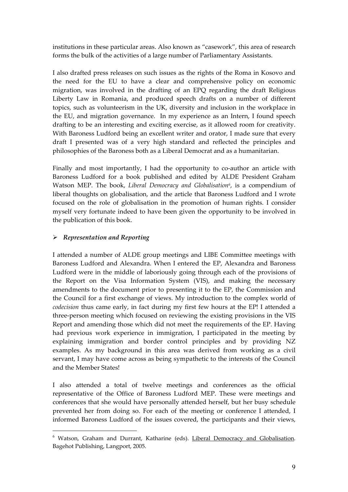institutions in these particular areas. Also known as "casework", this area of research forms the bulk of the activities of a large number of Parliamentary Assistants.

I also drafted press releases on such issues as the rights of the Roma in Kosovo and the need for the EU to have a clear and comprehensive policy on economic migration, was involved in the drafting of an EPQ regarding the draft Religious Liberty Law in Romania, and produced speech drafts on a number of different topics, such as volunteerism in the UK, diversity and inclusion in the workplace in the EU, and migration governance. In my experience as an Intern, I found speech drafting to be an interesting and exciting exercise, as it allowed room for creativity. With Baroness Ludford being an excellent writer and orator, I made sure that every draft I presented was of a very high standard and reflected the principles and philosophies of the Baroness both as a Liberal Democrat and as a humanitarian.

Finally and most importantly, I had the opportunity to co-author an article with Baroness Ludford for a book published and edited by ALDE President Graham Watson MEP. The book, *Liberal Democracy and Globalisation6*, is a compendium of liberal thoughts on globalisation, and the article that Baroness Ludford and I wrote focused on the role of globalisation in the promotion of human rights. I consider myself very fortunate indeed to have been given the opportunity to be involved in the publication of this book.

#### ¾ *Representation and Reporting*

 $\overline{a}$ 

I attended a number of ALDE group meetings and LIBE Committee meetings with Baroness Ludford and Alexandra. When I entered the EP, Alexandra and Baroness Ludford were in the middle of laboriously going through each of the provisions of the Report on the Visa Information System (VIS), and making the necessary amendments to the document prior to presenting it to the EP, the Commission and the Council for a first exchange of views. My introduction to the complex world of *codecision* thus came early, in fact during my first few hours at the EP! I attended a three-person meeting which focused on reviewing the existing provisions in the VIS Report and amending those which did not meet the requirements of the EP. Having had previous work experience in immigration, I participated in the meeting by explaining immigration and border control principles and by providing NZ examples. As my background in this area was derived from working as a civil servant, I may have come across as being sympathetic to the interests of the Council and the Member States!

I also attended a total of twelve meetings and conferences as the official representative of the Office of Baroness Ludford MEP. These were meetings and conferences that she would have personally attended herself, but her busy schedule prevented her from doing so. For each of the meeting or conference I attended, I informed Baroness Ludford of the issues covered, the participants and their views,

<sup>&</sup>lt;sup>6</sup> Watson, Graham and Durrant, Katharine (eds). Liberal Democracy and Globalisation. Bagehot Publishing, Langport, 2005.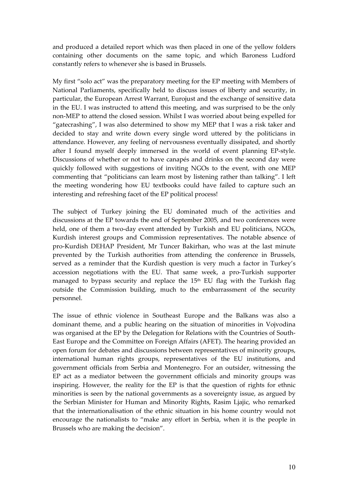and produced a detailed report which was then placed in one of the yellow folders containing other documents on the same topic, and which Baroness Ludford constantly refers to whenever she is based in Brussels.

My first "solo act" was the preparatory meeting for the EP meeting with Members of National Parliaments, specifically held to discuss issues of liberty and security, in particular, the European Arrest Warrant, Eurojust and the exchange of sensitive data in the EU. I was instructed to attend this meeting, and was surprised to be the only non-MEP to attend the closed session. Whilst I was worried about being expelled for "gatecrashing", I was also determined to show my MEP that I was a risk taker and decided to stay and write down every single word uttered by the politicians in attendance. However, any feeling of nervousness eventually dissipated, and shortly after I found myself deeply immersed in the world of event planning EP-style. Discussions of whether or not to have canapés and drinks on the second day were quickly followed with suggestions of inviting NGOs to the event, with one MEP commenting that "politicians can learn most by listening rather than talking". I left the meeting wondering how EU textbooks could have failed to capture such an interesting and refreshing facet of the EP political process!

The subject of Turkey joining the EU dominated much of the activities and discussions at the EP towards the end of September 2005, and two conferences were held, one of them a two-day event attended by Turkish and EU politicians, NGOs, Kurdish interest groups and Commission representatives. The notable absence of pro-Kurdish DEHAP President, Mr Tuncer Bakirhan, who was at the last minute prevented by the Turkish authorities from attending the conference in Brussels, served as a reminder that the Kurdish question is very much a factor in Turkey's accession negotiations with the EU. That same week, a pro-Turkish supporter managed to bypass security and replace the  $15<sup>th</sup>$  EU flag with the Turkish flag outside the Commission building, much to the embarrassment of the security personnel.

The issue of ethnic violence in Southeast Europe and the Balkans was also a dominant theme, and a public hearing on the situation of minorities in Vojvodina was organised at the EP by the Delegation for Relations with the Countries of South-East Europe and the Committee on Foreign Affairs (AFET). The hearing provided an open forum for debates and discussions between representatives of minority groups, international human rights groups, representatives of the EU institutions, and government officials from Serbia and Montenegro. For an outsider, witnessing the EP act as a mediator between the government officials and minority groups was inspiring. However, the reality for the EP is that the question of rights for ethnic minorities is seen by the national governments as a sovereignty issue, as argued by the Serbian Minister for Human and Minority Rights, Rasim Ljajic, who remarked that the internationalisation of the ethnic situation in his home country would not encourage the nationalists to "make any effort in Serbia, when it is the people in Brussels who are making the decision".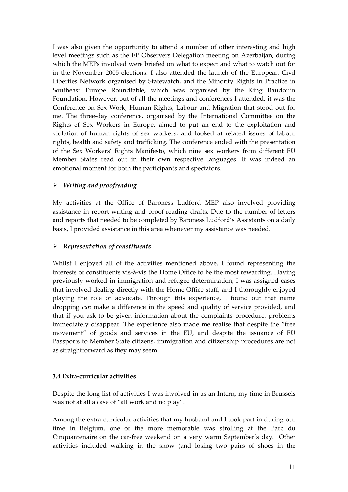I was also given the opportunity to attend a number of other interesting and high level meetings such as the EP Observers Delegation meeting on Azerbaijan, during which the MEPs involved were briefed on what to expect and what to watch out for in the November 2005 elections. I also attended the launch of the European Civil Liberties Network organised by Statewatch, and the Minority Rights in Practice in Southeast Europe Roundtable, which was organised by the King Baudouin Foundation. However, out of all the meetings and conferences I attended, it was the Conference on Sex Work, Human Rights, Labour and Migration that stood out for me. The three-day conference, organised by the International Committee on the Rights of Sex Workers in Europe, aimed to put an end to the exploitation and violation of human rights of sex workers, and looked at related issues of labour rights, health and safety and trafficking. The conference ended with the presentation of the Sex Workers' Rights Manifesto, which nine sex workers from different EU Member States read out in their own respective languages. It was indeed an emotional moment for both the participants and spectators.

## ¾ *Writing and proofreading*

My activities at the Office of Baroness Ludford MEP also involved providing assistance in report-writing and proof-reading drafts. Due to the number of letters and reports that needed to be completed by Baroness Ludford's Assistants on a daily basis, I provided assistance in this area whenever my assistance was needed.

### ¾ *Representation of constituents*

Whilst I enjoyed all of the activities mentioned above, I found representing the interests of constituents vis-à-vis the Home Office to be the most rewarding. Having previously worked in immigration and refugee determination, I was assigned cases that involved dealing directly with the Home Office staff, and I thoroughly enjoyed playing the role of advocate. Through this experience, I found out that name dropping *can* make a difference in the speed and quality of service provided, and that if you ask to be given information about the complaints procedure, problems immediately disappear! The experience also made me realise that despite the "free movement" of goods and services in the EU, and despite the issuance of EU Passports to Member State citizens, immigration and citizenship procedures are not as straightforward as they may seem.

#### **3.4 Extra-curricular activities**

Despite the long list of activities I was involved in as an Intern, my time in Brussels was not at all a case of "all work and no play".

Among the extra-curricular activities that my husband and I took part in during our time in Belgium, one of the more memorable was strolling at the Parc du Cinquantenaire on the car-free weekend on a very warm September's day. Other activities included walking in the snow (and losing two pairs of shoes in the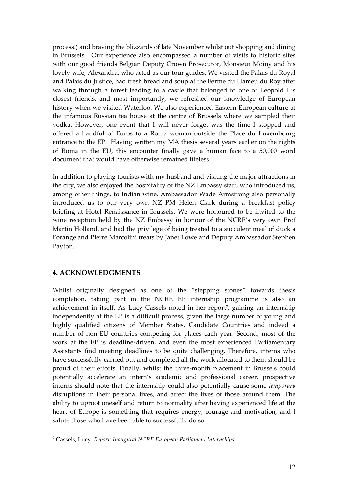process!) and braving the blizzards of late November whilst out shopping and dining in Brussels. Our experience also encompassed a number of visits to historic sites with our good friends Belgian Deputy Crown Prosecutor, Monsieur Moiny and his lovely wife, Alexandra, who acted as our tour guides. We visited the Palais du Royal and Palais du Justice, had fresh bread and soup at the Ferme du Hameu du Roy after walking through a forest leading to a castle that belonged to one of Leopold II's closest friends, and most importantly, we refreshed our knowledge of European history when we visited Waterloo. We also experienced Eastern European culture at the infamous Russian tea house at the centre of Brussels where we sampled their vodka. However, one event that I will never forget was the time I stopped and offered a handful of Euros to a Roma woman outside the Place du Luxembourg entrance to the EP. Having written my MA thesis several years earlier on the rights of Roma in the EU, this encounter finally gave a human face to a 50,000 word document that would have otherwise remained lifeless.

In addition to playing tourists with my husband and visiting the major attractions in the city, we also enjoyed the hospitality of the NZ Embassy staff, who introduced us, among other things, to Indian wine. Ambassador Wade Armstrong also personally introduced us to our very own NZ PM Helen Clark during a breakfast policy briefing at Hotel Renaissance in Brussels. We were honoured to be invited to the wine reception held by the NZ Embassy in honour of the NCRE's very own Prof Martin Holland, and had the privilege of being treated to a succulent meal of duck a l'orange and Pierre Marcolini treats by Janet Lowe and Deputy Ambassador Stephen Payton.

# **4. ACKNOWLEDGMENTS**

 $\overline{a}$ 

Whilst originally designed as one of the "stepping stones" towards thesis completion, taking part in the NCRE EP internship programme is also an achievement in itself. As Lucy Cassels noted in her report<sup>7</sup>, gaining an internship independently at the EP is a difficult process, given the large number of young and highly qualified citizens of Member States, Candidate Countries and indeed a number of non-EU countries competing for places each year. Second, most of the work at the EP is deadline-driven, and even the most experienced Parliamentary Assistants find meeting deadlines to be quite challenging. Therefore, interns who have successfully carried out and completed all the work allocated to them should be proud of their efforts. Finally, whilst the three-month placement in Brussels could potentially accelerate an intern's academic and professional career, prospective interns should note that the internship could also potentially cause some *temporary*  disruptions in their personal lives, and affect the lives of those around them. The ability to uproot oneself and return to normality after having experienced life at the heart of Europe is something that requires energy, courage and motivation, and I salute those who have been able to successfully do so.

<sup>7</sup> Cassels, Lucy. *Report: Inaugural NCRE European Parliament Internships*.